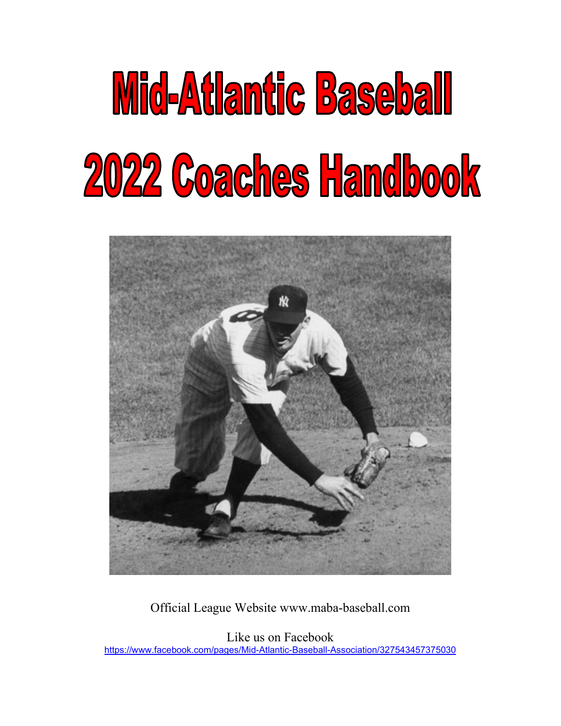



Official League Website www.maba-baseball.com

Like us on Facebook <https://www.facebook.com/pages/Mid-Atlantic-Baseball-Association/327543457375030>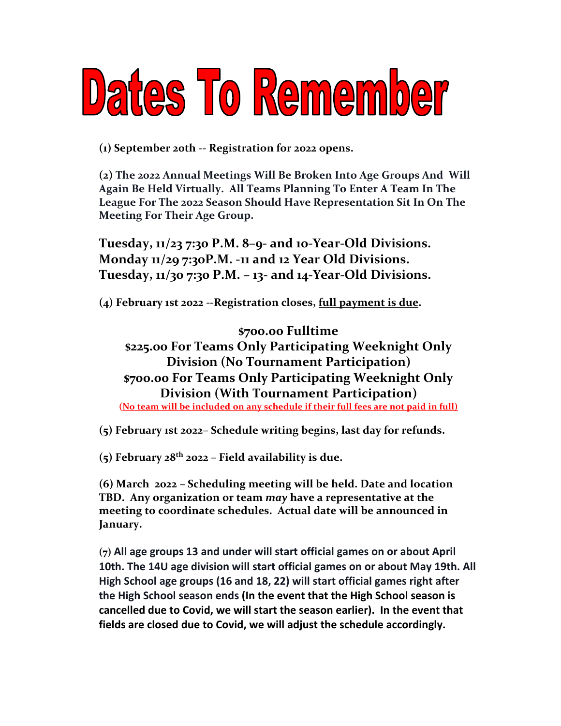## Dates To Remember

**(1) September 20th -- Registration for 2022 opens.**

**(2) The 2022 Annual Meetings Will Be Broken Into Age Groups And Will Again Be Held Virtually. All Teams Planning To Enter A Team In The League For The 2022 Season Should Have Representation Sit In On The Meeting For Their Age Group.**

**Tuesday, 11/23 7:30 P.M. 8–9- and 10-Year-Old Divisions. Monday 11/29 7:30P.M. -11 and 12 Year Old Divisions. Tuesday, 11/30 7:30 P.M. – 13- and 14-Year-Old Divisions.**

**(4) February 1st 2022 --Registration closes, full payment is due.**

**\$700.00 Fulltime \$225.00 For Teams Only Participating Weeknight Only Division (No Tournament Participation) \$700.00 For Teams Only Participating Weeknight Only Division (With Tournament Participation) (No team will be included on any schedule if their full fees are not paid in full)**

**(5) February 1st 2022– Schedule writing begins, last day for refunds.**

**(5) February 28th 2022 – Field availability is due.**

**(6) March 2022 – Scheduling meeting will be held. Date and location TBD. Any organization or team** *may* **have a representative at the meeting to coordinate schedules. Actual date will be announced in January.**

**(7) All age groups 13 and under will start official games on or about April 10th. The 14U age division will start official games on or about May 19th. All High School age groups (16 and 18, 22) will start official games right after the High School season ends (In the event that the High School season is cancelled due to Covid, we will start the season earlier). In the event that fields are closed due to Covid, we will adjust the schedule accordingly.**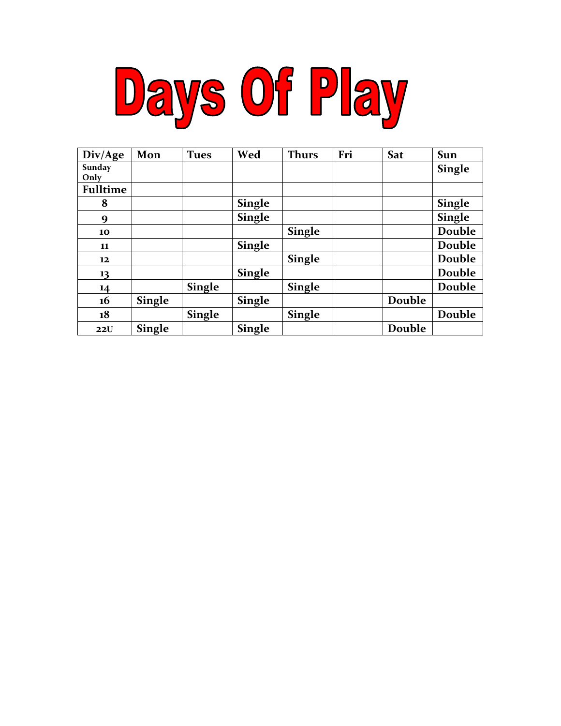

| Div/Age         | Mon           | <b>Tues</b>   | Wed           | <b>Thurs</b>  | Fri | Sat    | Sun           |
|-----------------|---------------|---------------|---------------|---------------|-----|--------|---------------|
| Sunday<br>Only  |               |               |               |               |     |        | <b>Single</b> |
| <b>Fulltime</b> |               |               |               |               |     |        |               |
| 8               |               |               | <b>Single</b> |               |     |        | <b>Single</b> |
| 9               |               |               | <b>Single</b> |               |     |        | <b>Single</b> |
| 10              |               |               |               | <b>Single</b> |     |        | Double        |
| 11              |               |               | <b>Single</b> |               |     |        | Double        |
| 12              |               |               |               | <b>Single</b> |     |        | Double        |
| 13              |               |               | <b>Single</b> |               |     |        | Double        |
| 14              |               | <b>Single</b> |               | <b>Single</b> |     |        | Double        |
| 16              | <b>Single</b> |               | <b>Single</b> |               |     | Double |               |
| 18              |               | <b>Single</b> |               | <b>Single</b> |     |        | Double        |
| 22U             | <b>Single</b> |               | <b>Single</b> |               |     | Double |               |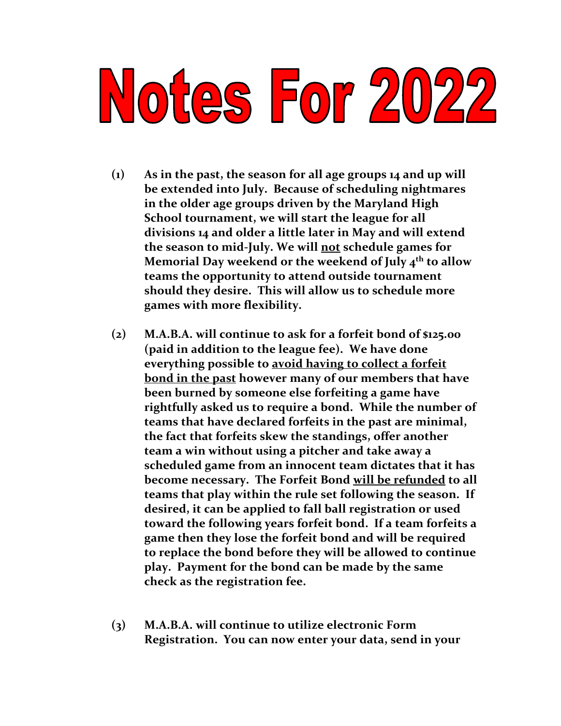# Notes For 2022

- **(1) As in the past, the season for all age groups 14 and up will be extended into July. Because of scheduling nightmares in the older age groups driven by the Maryland High School tournament, we will start the league for all divisions 14 and older a little later in May and will extend the season to mid-July. We will not schedule games for Memorial Day weekend or the weekend of July 4th to allow teams the opportunity to attend outside tournament should they desire. This will allow us to schedule more games with more flexibility.**
- **(2) M.A.B.A. will continue to ask for a forfeit bond of \$125.00 (paid in addition to the league fee). We have done everything possible to avoid having to collect a forfeit bond in the past however many of our members that have been burned by someone else forfeiting a game have rightfully asked us to require a bond. While the number of teams that have declared forfeits in the past are minimal, the fact that forfeits skew the standings, offer another team a win without using a pitcher and take away a scheduled game from an innocent team dictates that it has become necessary. The Forfeit Bond will be refunded to all teams that play within the rule set following the season. If desired, it can be applied to fall ball registration or used toward the following years forfeit bond. If a team forfeits a game then they lose the forfeit bond and will be required to replace the bond before they will be allowed to continue play. Payment for the bond can be made by the same check as the registration fee.**
- **(3) M.A.B.A. will continue to utilize electronic Form Registration. You can now enter your data, send in your**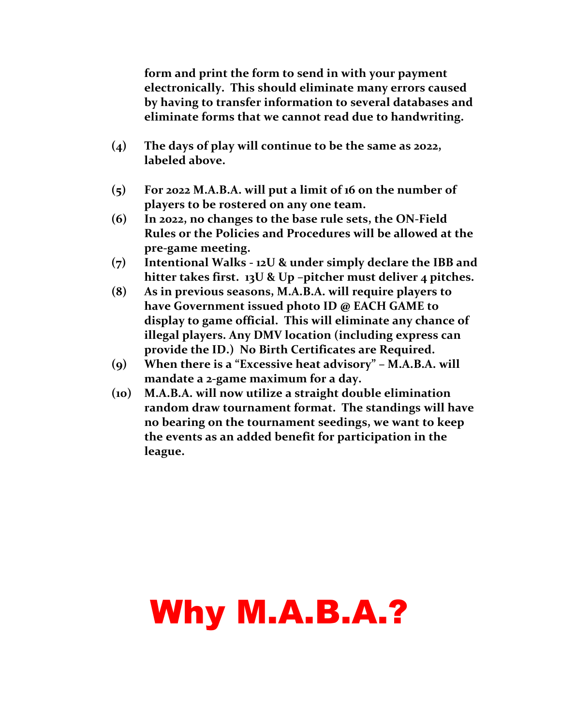**form and print the form to send in with your payment electronically. This should eliminate many errors caused by having to transfer information to several databases and eliminate forms that we cannot read due to handwriting.**

- **(4) The days of play will continue to be the same as 2022, labeled above.**
- **(5) For 2022 M.A.B.A. will put a limit of 16 on the number of players to be rostered on any one team.**
- **(6) In 2022, no changes to the base rule sets, the ON-Field Rules or the Policies and Procedures will be allowed at the pre-game meeting.**
- **(7) Intentional Walks - 12U & under simply declare the IBB and hitter takes first. 13U & Up –pitcher must deliver 4 pitches.**
- **(8) As in previous seasons, M.A.B.A. will require players to have Government issued photo ID @ EACH GAME to display to game official. This will eliminate any chance of illegal players. Any DMV location (including express can provide the ID.) No Birth Certificates are Required.**
- **(9) When there is a "Excessive heat advisory" – M.A.B.A. will mandate a 2-game maximum for a day.**
- **(10) M.A.B.A. will now utilize a straight double elimination random draw tournament format. The standings will have no bearing on the tournament seedings, we want to keep the events as an added benefit for participation in the league.**

### Why M.A.B.A.?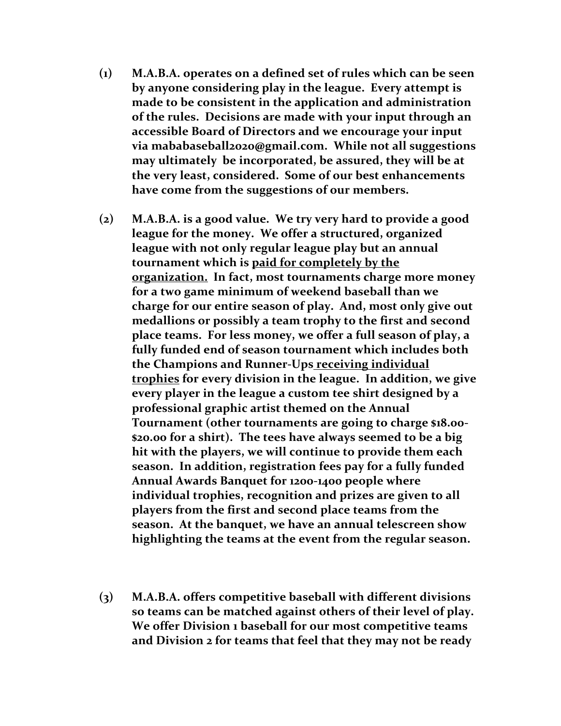- **(1) M.A.B.A. operates on a defined set of rules which can be seen by anyone considering play in the league. Every attempt is made to be consistent in the application and administration of the rules. Decisions are made with your input through an accessible Board of Directors and we encourage your input via mababaseball2020@gmail.com. While not all suggestions may ultimately be incorporated, be assured, they will be at the very least, considered. Some of our best enhancements have come from the suggestions of our members.**
- **(2) M.A.B.A. is a good value. We try very hard to provide a good league for the money. We offer a structured, organized league with not only regular league play but an annual tournament which is paid for completely by the organization. In fact, most tournaments charge more money for a two game minimum of weekend baseball than we charge for our entire season of play. And, most only give out medallions or possibly a team trophy to the first and second place teams. For less money, we offer a full season of play, a fully funded end of season tournament which includes both the Champions and Runner-Ups receiving individual trophies for every division in the league. In addition, we give every player in the league a custom tee shirt designed by a professional graphic artist themed on the Annual Tournament (other tournaments are going to charge \$18.00- \$20.00 for a shirt). The tees have always seemed to be a big hit with the players, we will continue to provide them each season. In addition, registration fees pay for a fully funded Annual Awards Banquet for 1200-1400 people where individual trophies, recognition and prizes are given to all players from the first and second place teams from the season. At the banquet, we have an annual telescreen show highlighting the teams at the event from the regular season.**
- **(3) M.A.B.A. offers competitive baseball with different divisions so teams can be matched against others of their level of play. We offer Division 1 baseball for our most competitive teams and Division 2 for teams that feel that they may not be ready**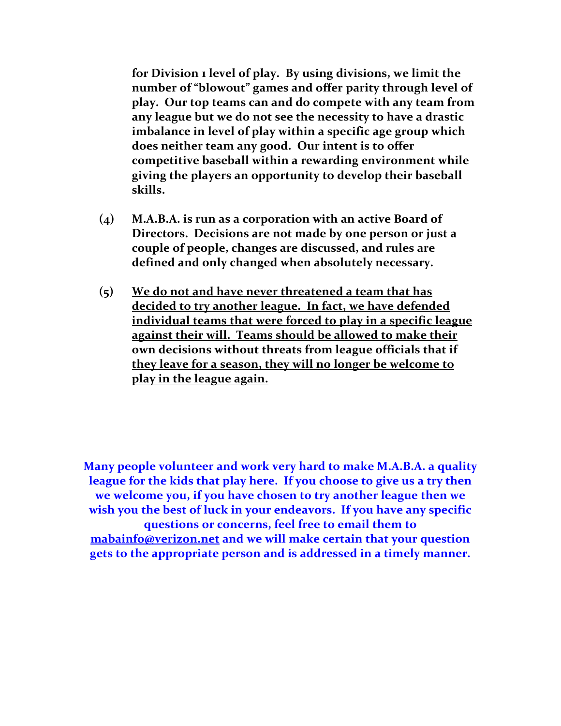**for Division 1 level of play. By using divisions, we limit the number of "blowout" games and offer parity through level of play. Our top teams can and do compete with any team from any league but we do not see the necessity to have a drastic imbalance in level of play within a specific age group which does neither team any good. Our intent is to offer competitive baseball within a rewarding environment while giving the players an opportunity to develop their baseball skills.**

- **(4) M.A.B.A. is run as a corporation with an active Board of Directors. Decisions are not made by one person or just a couple of people, changes are discussed, and rules are defined and only changed when absolutely necessary.**
- **(5) We do not and have never threatened a team that has decided to try another league. In fact, we have defended individual teams that were forced to play in a specific league against their will. Teams should be allowed to make their own decisions without threats from league officials that if they leave for a season, they will no longer be welcome to play in the league again.**

**Many people volunteer and work very hard to make M.A.B.A. a quality league for the kids that play here. If you choose to give us a try then we welcome you, if you have chosen to try another league then we wish you the best of luck in your endeavors. If you have any specific questions or concerns, feel free to email them to [mabainfo@verizon.net](mailto:mabainfo@verizon.net) and we will make certain that your question gets to the appropriate person and is addressed in a timely manner.**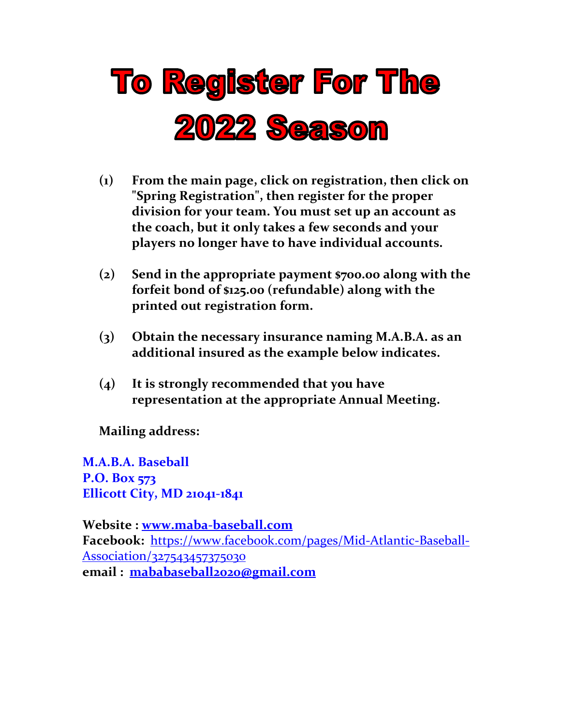

- **(1) From the main page, click on registration, then click on "Spring Registration", then register for the proper division for your team. You must set up an account as the coach, but it only takes a few seconds and your players no longer have to have individual accounts.**
- **(2) Send in the appropriate payment \$700.00 along with the forfeit bond of \$125.00 (refundable) along with the printed out registration form.**
- **(3) Obtain the necessary insurance naming M.A.B.A. as an additional insured as the example below indicates.**
- **(4) It is strongly recommended that you have representation at the appropriate Annual Meeting.**

**Mailing address:**

**M.A.B.A. Baseball P.O. Box 573 Ellicott City, MD 21041-1841**

**Website : [www.maba-baseball.com](http://www.maba-baseball.com/) Facebook:** [https://www.facebook.com/pages/Mid-Atlantic-Baseball-](https://www.facebook.com/pages/Mid-Atlantic-Baseball-Association/327543457375030)[Association/327543457375030](https://www.facebook.com/pages/Mid-Atlantic-Baseball-Association/327543457375030) **email : [mababaseball2020@gmail.com](mailto:mababaseball2020@gmail.com)**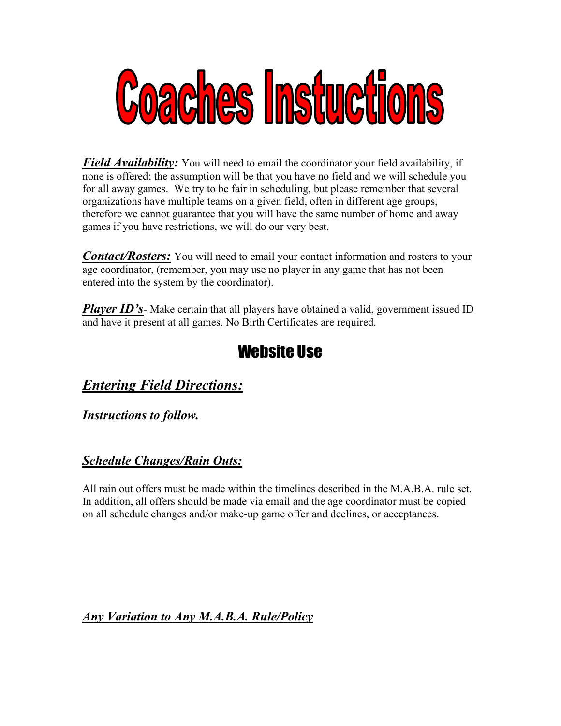

*Field Availability:* You will need to email the coordinator your field availability, if none is offered; the assumption will be that you have no field and we will schedule you for all away games. We try to be fair in scheduling, but please remember that several organizations have multiple teams on a given field, often in different age groups, therefore we cannot guarantee that you will have the same number of home and away games if you have restrictions, we will do our very best.

*Contact/Rosters:* You will need to email your contact information and rosters to your age coordinator, (remember, you may use no player in any game that has not been entered into the system by the coordinator).

*Player ID's*- Make certain that all players have obtained a valid, government issued ID and have it present at all games. No Birth Certificates are required.

#### Website Use

#### *Entering Field Directions:*

*Instructions to follow.*

#### *Schedule Changes/Rain Outs:*

All rain out offers must be made within the timelines described in the M.A.B.A. rule set. In addition, all offers should be made via email and the age coordinator must be copied on all schedule changes and/or make-up game offer and declines, or acceptances.

*Any Variation to Any M.A.B.A. Rule/Policy*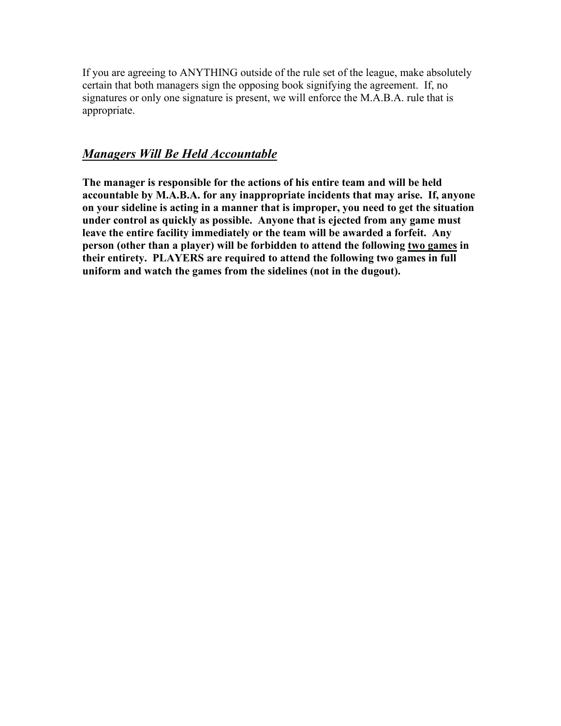If you are agreeing to ANYTHING outside of the rule set of the league, make absolutely certain that both managers sign the opposing book signifying the agreement. If, no signatures or only one signature is present, we will enforce the M.A.B.A. rule that is appropriate.

#### *Managers Will Be Held Accountable*

**The manager is responsible for the actions of his entire team and will be held accountable by M.A.B.A. for any inappropriate incidents that may arise. If, anyone on your sideline is acting in a manner that is improper, you need to get the situation under control as quickly as possible. Anyone that is ejected from any game must leave the entire facility immediately or the team will be awarded a forfeit. Any person (other than a player) will be forbidden to attend the following two games in their entirety. PLAYERS are required to attend the following two games in full uniform and watch the games from the sidelines (not in the dugout).**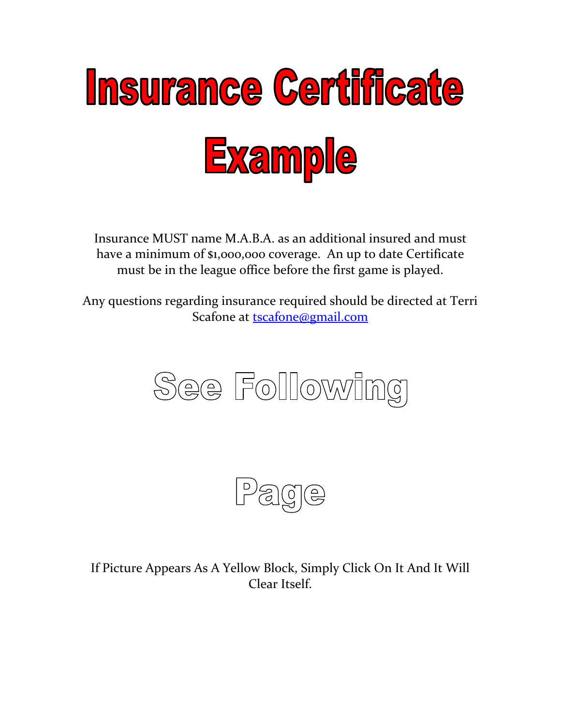

Insurance MUST name M.A.B.A. as an additional insured and must have a minimum of \$1,000,000 coverage. An up to date Certificate must be in the league office before the first game is played.

Any questions regarding insurance required should be directed at Terri Scafone at [tscafone@gmail.com](mailto:tscafone@gmail.com)





If Picture Appears As A Yellow Block, Simply Click On It And It Will Clear Itself.